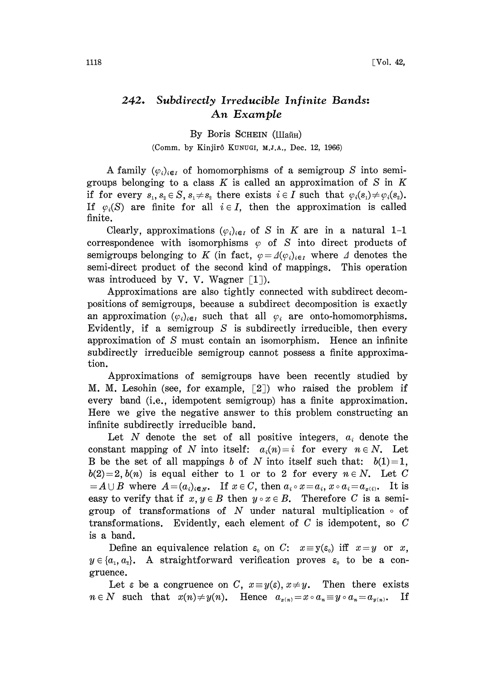## 242. Subdirectly Irreducible Infinite Bands: An Example

By Boris SCHEIN (Шайн) (Comm. by Kinjirô KUNUGI, M.J.A., Dec. 12, 1966)

A family  $(\varphi_i)_{i \in I}$  of homomorphisms of a semigroup S into semigroups belonging to a class  $K$  is called an approximation of  $S$  in  $K$ if for every  $s_1, s_2 \in S$ ,  $s_1 \neq s_2$  there exists  $i \in I$  such that  $\varphi_i(s_1) \neq \varphi_i(s_2)$ . If  $\varphi_i(S)$  are finite for all  $i \in I$ , then the approximation is called finite.

Clearly, approximations  $(\varphi_i)_{i \in I}$  of S in K are in a natural 1-1 correspondence with isomorphisms  $\varphi$  of S into direct products of semigroups belonging to K (in fact,  $\varphi = \Delta(\varphi_i)_{i \in I}$  where  $\Delta$  denotes the semi-direct product of the second kind of mappings. This operation was introduced by V. V. Wagner  $\lceil 1 \rceil$ ).

Approximations are also tightly connected with subdirect decompositions of semigroups, because a subdirect decomposition is exactly an approximation  $(\varphi_i)_{i \in I}$  such that all  $\varphi_i$  are onto-homomorphisms. Evidently, if a semigroup  $S$  is subdirectly irreducible, then every approximation of S must contain an isomorphism. Hence an infinite subdirectly irreducible semigroup cannot possess a finite approximation.

Approximations of semigroups have been recently studied by M. M. Lesohin (see, for example,  $\lceil 2 \rceil$ ) who raised the problem if every band (i.e., idempotent semigroup) has a finite approximation. Here we give the negative answer to this problem constructing an infinite subdirectly irreducible band.

Let N denote the set of all positive integers,  $a_i$  denote the constant mapping of N into itself:  $a_i(n)=i$  for every  $n \in N$ . Let B be the set of all mappings b of N into itself such that:  $b(1)=1$ ,  $b(2)=2, b(n)$  is equal either to 1 or to 2 for every  $n \in N$ . Let C  $A = A \cup B$  where  $A = (a_i)_{i \in N}$ . If  $x \in C$ , then  $a_i \circ x = a_i$ ,  $x \circ a_i = a_{x(i)}$ . It is easy to verify that if  $x, y \in B$  then  $y \circ x \in B$ . Therefore C is a semigroup of transformations of N under natural multiplication  $\circ$  of transformations. Evidently, each element of C is idempotent, so C is a band.

Define an equivalence relation  $\varepsilon_0$  on C:  $x \equiv y(\varepsilon_0)$  iff  $x = y$  or  $x$ ,  $y \in \{a_1, a_2\}$ . A straightforward verification proves  $\varepsilon_0$  to be a congruence.

Let  $\varepsilon$  be a congruence on C,  $x \equiv y(\varepsilon), x \neq y$ . Then there exists  $n \in N$  such that  $x(n) \neq y(n)$ . Hence  $a_{x(n)} = x \circ a_n \equiv y \circ a_n = a_{y(n)}$ . If